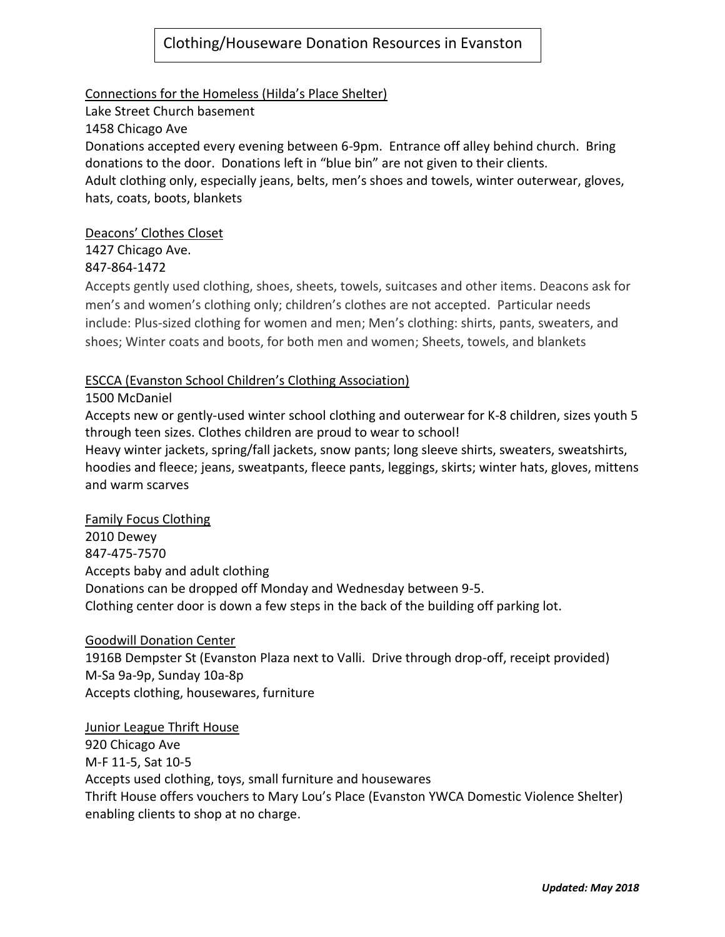# Clothing/Houseware Donation Resources in Evanston

## Connections for the Homeless (Hilda's Place Shelter)

Lake Street Church basement 1458 Chicago Ave Donations accepted every evening between 6-9pm. Entrance off alley behind church. Bring donations to the door. Donations left in "blue bin" are not given to their clients. Adult clothing only, especially jeans, belts, men's shoes and towels, winter outerwear, gloves, hats, coats, boots, blankets

## Deacons' Clothes Closet

1427 Chicago Ave.

## 847-864-1472

Accepts gently used clothing, shoes, sheets, towels, suitcases and other items. Deacons ask for men's and women's clothing only; children's clothes are not accepted. Particular needs include: Plus-sized clothing for women and men; Men's clothing: shirts, pants, sweaters, and shoes; Winter coats and boots, for both men and women; Sheets, towels, and blankets

#### ESCCA (Evanston School Children's Clothing Association)

#### 1500 McDaniel

Accepts new or gently-used winter school clothing and outerwear for K-8 children, sizes youth 5 through teen sizes. Clothes children are proud to wear to school! Heavy winter jackets, spring/fall jackets, snow pants; long sleeve shirts, sweaters, sweatshirts, hoodies and fleece; jeans, sweatpants, fleece pants, leggings, skirts; winter hats, gloves, mittens and warm scarves

#### Family Focus Clothing

2010 Dewey 847-475-7570 Accepts baby and adult clothing Donations can be dropped off Monday and Wednesday between 9-5. Clothing center door is down a few steps in the back of the building off parking lot.

#### Goodwill Donation Center

1916B Dempster St (Evanston Plaza next to Valli. Drive through drop-off, receipt provided) M-Sa 9a-9p, Sunday 10a-8p Accepts clothing, housewares, furniture

# Junior League Thrift House 920 Chicago Ave M-F 11-5, Sat 10-5 Accepts used clothing, toys, small furniture and housewares Thrift House offers vouchers to Mary Lou's Place (Evanston YWCA Domestic Violence Shelter) enabling clients to shop at no charge.